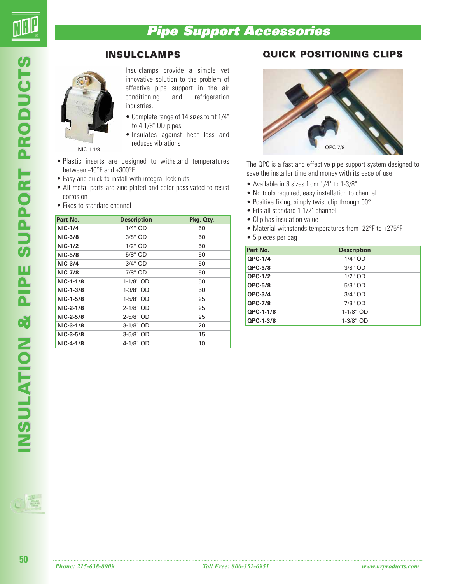# **Pipe Support Accessories**

## **INSULCLAMPS**



Insulclamps provide a simple yet innovative solution to the problem of effective pipe support in the air<br>conditioning and refrigeration conditioning and refrigeration industries.

- Complete range of 14 sizes to fit 1/4" to 4 1/8" OD pipes
- Insulates against heat loss and reduces vibrations

NIC-1-1/8

- Plastic inserts are designed to withstand temperatures between -40°F and +300°F
- Easy and quick to install with integral lock nuts
- All metal parts are zinc plated and color passivated to resist corrosion
- Fixes to standard channel

| Part No.       | <b>Description</b> | Pkg. Qty. |
|----------------|--------------------|-----------|
| <b>NIC-1/4</b> | 1/4" OD            | 50        |
| <b>NIC-3/8</b> | 3/8" OD            | 50        |
| <b>NIC-1/2</b> | 1/2" OD            | 50        |
| <b>NIC-5/8</b> | 5/8" OD            | 50        |
| <b>NIC-3/4</b> | 3/4" OD            | 50        |
| <b>NIC-7/8</b> | $7/8"$ OD          | 50        |
| NIC-1-1/8      | 1-1/8" OD          | 50        |
| $NIC-1-3/8$    | 1-3/8" OD          | 50        |
| NIC-1-5/8      | 1-5/8" OD          | 25        |
| NIC-2-1/8      | 2-1/8" OD          | 25        |
| NIC-2-5/8      | 2-5/8" OD          | 25        |
| NIC-3-1/8      | $3-1/8"$ OD        | 20        |
| NIC-3-5/8      | 3-5/8" OD          | 15        |
| NIC-4-1/8      | 4-1/8" OD          | 10        |

## **QUICK POSITIONING CLIPS**



The QPC is a fast and effective pipe support system designed to save the installer time and money with its ease of use.

- Available in 8 sizes from 1/4" to 1-3/8"
- No tools required, easy installation to channel
- Positive fixing, simply twist clip through 90°
- Fits all standard 1 1/2" channel
- Clip has insulation value
- Material withstands temperatures from -22°F to +275°F
- 5 pieces per bag

| Part No.  | <b>Description</b> |
|-----------|--------------------|
| QPC-1/4   | 1/4" OD            |
| QPC-3/8   | 3/8" OD            |
| QPC-1/2   | $1/2$ " OD         |
| $QPC-5/8$ | 5/8" OD            |
| QPC-3/4   | 3/4" OD            |
| QPC-7/8   | 7/8" OD            |
| QPC-1-1/8 | $1-1/8"$ OD        |
| QPC-1-3/8 | 1-3/8" OD          |

**50**